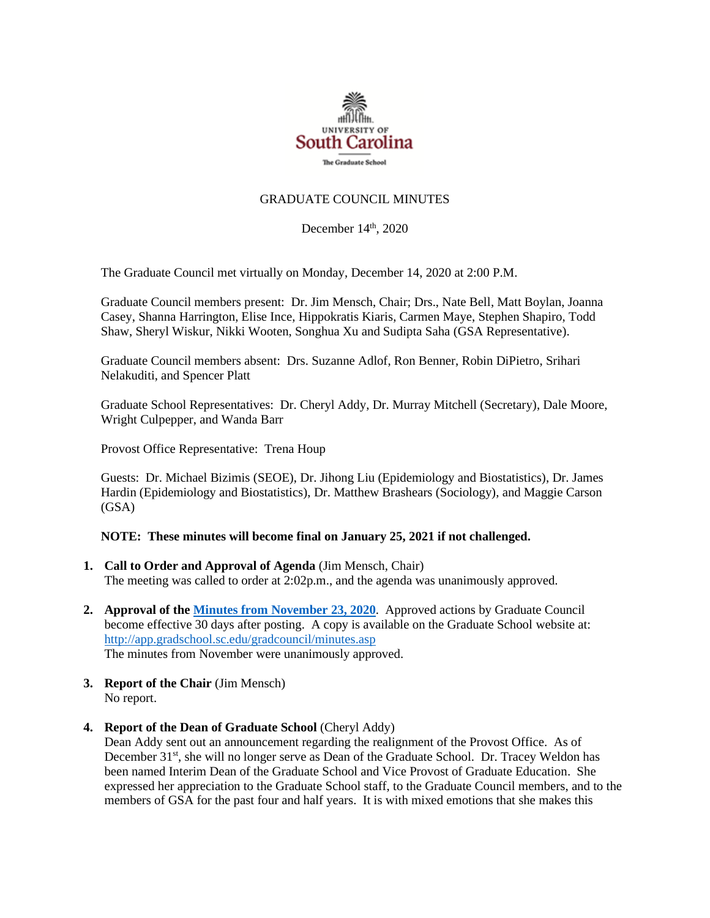

## GRADUATE COUNCIL MINUTES

December  $14<sup>th</sup>$ , 2020

The Graduate Council met virtually on Monday, December 14, 2020 at 2:00 P.M.

Graduate Council members present: Dr. Jim Mensch, Chair; Drs., Nate Bell, Matt Boylan, Joanna Casey, Shanna Harrington, Elise Ince, Hippokratis Kiaris, Carmen Maye, Stephen Shapiro, Todd Shaw, Sheryl Wiskur, Nikki Wooten, Songhua Xu and Sudipta Saha (GSA Representative).

Graduate Council members absent: Drs. Suzanne Adlof, Ron Benner, Robin DiPietro, Srihari Nelakuditi, and Spencer Platt

Graduate School Representatives: Dr. Cheryl Addy, Dr. Murray Mitchell (Secretary), Dale Moore, Wright Culpepper, and Wanda Barr

Provost Office Representative: Trena Houp

Guests: Dr. Michael Bizimis (SEOE), Dr. Jihong Liu (Epidemiology and Biostatistics), Dr. James Hardin (Epidemiology and Biostatistics), Dr. Matthew Brashears (Sociology), and Maggie Carson (GSA)

## **NOTE: These minutes will become final on January 25, 2021 if not challenged.**

- **1. Call to Order and Approval of Agenda** (Jim Mensch, Chair) The meeting was called to order at 2:02p.m., and the agenda was unanimously approved.
- **2. Approval of th[e Minutes from November](file:///C:/Users/wandab/Local%20Documents/Graduate%20Council/GCMINUTES10.26.20.pdf) 23, 2020**. Approved actions by Graduate Council become effective 30 days after posting. A copy is available on the Graduate School website at: <http://app.gradschool.sc.edu/gradcouncil/minutes.asp> The minutes from November were unanimously approved.
- **3. Report of the Chair** (Jim Mensch) No report.
- **4. Report of the Dean of Graduate School** (Cheryl Addy) Dean Addy sent out an announcement regarding the realignment of the Provost Office. As of December 31st, she will no longer serve as Dean of the Graduate School. Dr. Tracey Weldon has been named Interim Dean of the Graduate School and Vice Provost of Graduate Education. She expressed her appreciation to the Graduate School staff, to the Graduate Council members, and to the members of GSA for the past four and half years. It is with mixed emotions that she makes this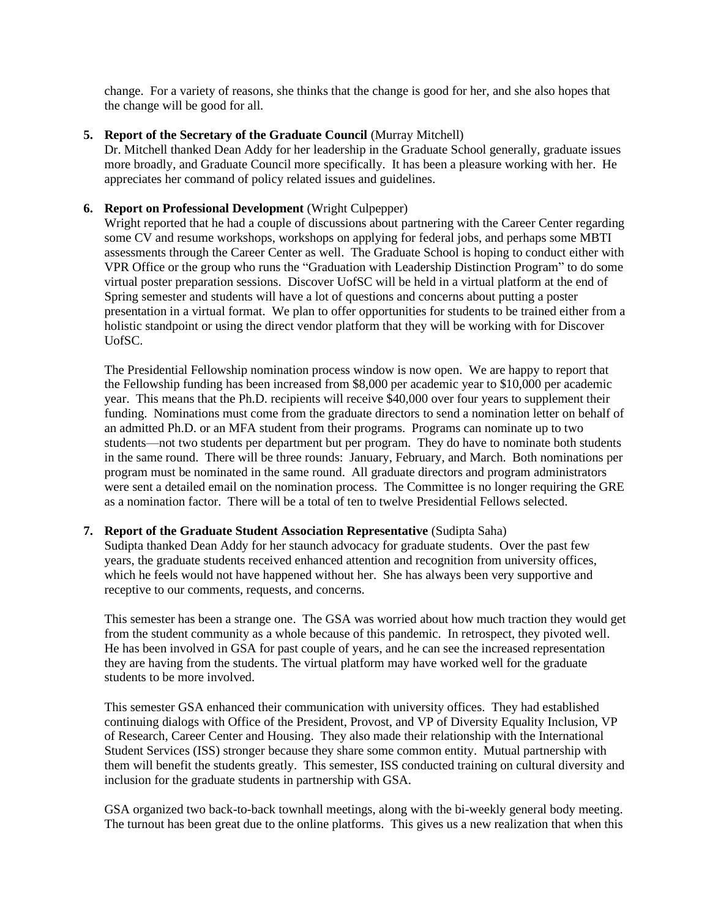change. For a variety of reasons, she thinks that the change is good for her, and she also hopes that the change will be good for all.

## **5. Report of the Secretary of the Graduate Council** (Murray Mitchell)

Dr. Mitchell thanked Dean Addy for her leadership in the Graduate School generally, graduate issues more broadly, and Graduate Council more specifically. It has been a pleasure working with her. He appreciates her command of policy related issues and guidelines.

### **6. Report on Professional Development** (Wright Culpepper)

Wright reported that he had a couple of discussions about partnering with the Career Center regarding some CV and resume workshops, workshops on applying for federal jobs, and perhaps some MBTI assessments through the Career Center as well. The Graduate School is hoping to conduct either with VPR Office or the group who runs the "Graduation with Leadership Distinction Program" to do some virtual poster preparation sessions. Discover UofSC will be held in a virtual platform at the end of Spring semester and students will have a lot of questions and concerns about putting a poster presentation in a virtual format. We plan to offer opportunities for students to be trained either from a holistic standpoint or using the direct vendor platform that they will be working with for Discover UofSC.

The Presidential Fellowship nomination process window is now open. We are happy to report that the Fellowship funding has been increased from \$8,000 per academic year to \$10,000 per academic year. This means that the Ph.D. recipients will receive \$40,000 over four years to supplement their funding. Nominations must come from the graduate directors to send a nomination letter on behalf of an admitted Ph.D. or an MFA student from their programs. Programs can nominate up to two students—not two students per department but per program. They do have to nominate both students in the same round. There will be three rounds: January, February, and March. Both nominations per program must be nominated in the same round. All graduate directors and program administrators were sent a detailed email on the nomination process. The Committee is no longer requiring the GRE as a nomination factor. There will be a total of ten to twelve Presidential Fellows selected.

### **7. Report of the Graduate Student Association Representative** (Sudipta Saha)

Sudipta thanked Dean Addy for her staunch advocacy for graduate students. Over the past few years, the graduate students received enhanced attention and recognition from university offices, which he feels would not have happened without her. She has always been very supportive and receptive to our comments, requests, and concerns.

This semester has been a strange one. The GSA was worried about how much traction they would get from the student community as a whole because of this pandemic. In retrospect, they pivoted well. He has been involved in GSA for past couple of years, and he can see the increased representation they are having from the students. The virtual platform may have worked well for the graduate students to be more involved.

This semester GSA enhanced their communication with university offices. They had established continuing dialogs with Office of the President, Provost, and VP of Diversity Equality Inclusion, VP of Research, Career Center and Housing. They also made their relationship with the International Student Services (ISS) stronger because they share some common entity. Mutual partnership with them will benefit the students greatly. This semester, ISS conducted training on cultural diversity and inclusion for the graduate students in partnership with GSA.

GSA organized two back-to-back townhall meetings, along with the bi-weekly general body meeting. The turnout has been great due to the online platforms. This gives us a new realization that when this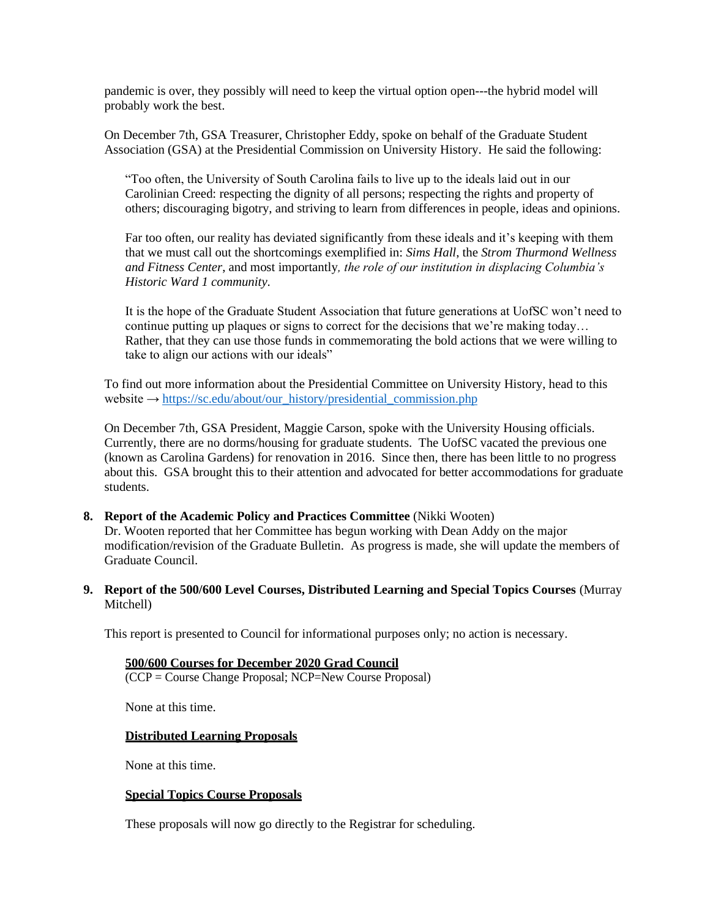pandemic is over, they possibly will need to keep the virtual option open---the hybrid model will probably work the best.

On December 7th, GSA Treasurer, Christopher Eddy, spoke on behalf of the Graduate Student Association (GSA) at the Presidential Commission on University History. He said the following:

"Too often, the University of South Carolina fails to live up to the ideals laid out in our Carolinian Creed: respecting the dignity of all persons; respecting the rights and property of others; discouraging bigotry, and striving to learn from differences in people, ideas and opinions.

Far too often, our reality has deviated significantly from these ideals and it's keeping with them that we must call out the shortcomings exemplified in: *Sims Hall*, the *Strom Thurmond Wellness and Fitness Center*, and most importantly*, the role of our institution in displacing Columbia's Historic Ward 1 community*.

It is the hope of the Graduate Student Association that future generations at UofSC won't need to continue putting up plaques or signs to correct for the decisions that we're making today… Rather, that they can use those funds in commemorating the bold actions that we were willing to take to align our actions with our ideals"

To find out more information about the Presidential Committee on University History, head to this website → [https://sc.edu/about/our\\_history/presidential\\_commission.php](https://sc.edu/about/our_history/presidential_commission.php)

On December 7th, GSA President, Maggie Carson, spoke with the University Housing officials. Currently, there are no dorms/housing for graduate students. The UofSC vacated the previous one (known as Carolina Gardens) for renovation in 2016. Since then, there has been little to no progress about this. GSA brought this to their attention and advocated for better accommodations for graduate students.

### **8. Report of the Academic Policy and Practices Committee** (Nikki Wooten)

Dr. Wooten reported that her Committee has begun working with Dean Addy on the major modification/revision of the Graduate Bulletin. As progress is made, she will update the members of Graduate Council.

**9. Report of the 500/600 Level Courses, Distributed Learning and Special Topics Courses** (Murray Mitchell)

This report is presented to Council for informational purposes only; no action is necessary.

# **500/600 Courses for December 2020 Grad Council**

(CCP = Course Change Proposal; NCP=New Course Proposal)

None at this time.

#### **Distributed Learning Proposals**

None at this time.

#### **Special Topics Course Proposals**

These proposals will now go directly to the Registrar for scheduling.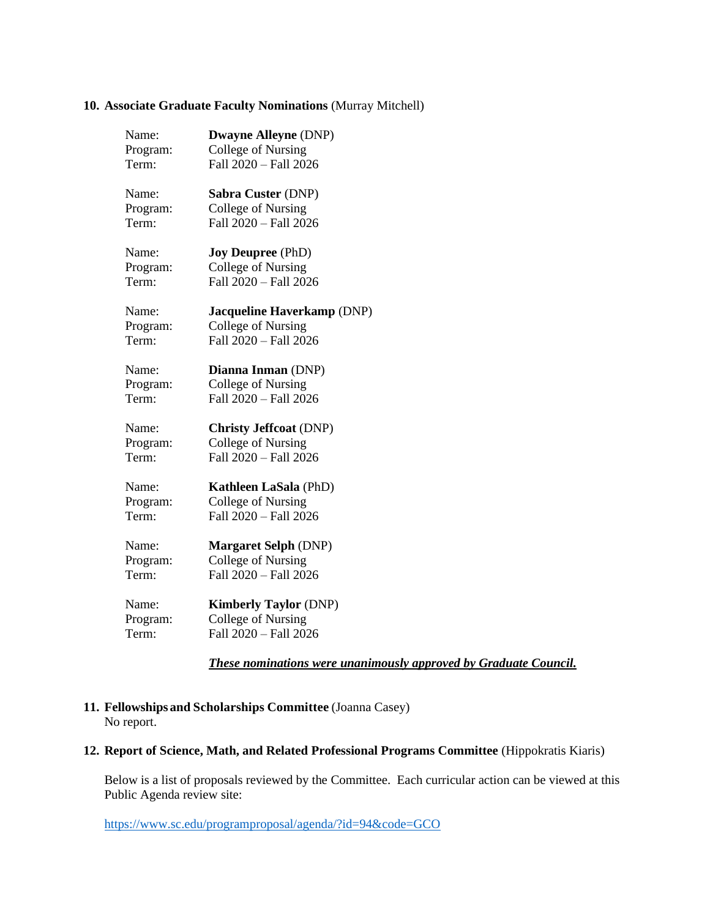### **10. Associate Graduate Faculty Nominations** (Murray Mitchell)

| Name:    | <b>Dwayne Alleyne (DNP)</b>   |
|----------|-------------------------------|
| Program: | College of Nursing            |
| Term:    | Fall 2020 - Fall 2026         |
| Name:    | Sabra Custer (DNP)            |
| Program: | College of Nursing            |
| Term:    | Fall 2020 - Fall 2026         |
| Name:    | <b>Joy Deupree</b> (PhD)      |
| Program: | College of Nursing            |
| Term:    | Fall 2020 - Fall 2026         |
| Name:    | Jacqueline Haverkamp (DNP)    |
| Program: | College of Nursing            |
| Term:    | Fall 2020 - Fall 2026         |
| Name:    | Dianna Inman (DNP)            |
| Program: | College of Nursing            |
| Term:    | Fall 2020 - Fall 2026         |
| Name:    | <b>Christy Jeffcoat (DNP)</b> |
| Program: | College of Nursing            |
| Term:    | Fall 2020 - Fall 2026         |
| Name:    | Kathleen LaSala (PhD)         |
| Program: | College of Nursing            |
| Term:    | Fall 2020 - Fall 2026         |
| Name:    | <b>Margaret Selph (DNP)</b>   |
| Program: | College of Nursing            |
| Term:    | Fall 2020 - Fall 2026         |
| Name:    | <b>Kimberly Taylor (DNP)</b>  |
| Program: | College of Nursing            |
| Term:    | Fall 2020 - Fall 2026         |

*These nominations were unanimously approved by Graduate Council.*

- **11. Fellowships and Scholarships Committee** (Joanna Casey) No report.
- **12. Report of Science, Math, and Related Professional Programs Committee** (Hippokratis Kiaris)

Below is a list of proposals reviewed by the Committee. Each curricular action can be viewed at this Public Agenda review site:

<https://www.sc.edu/programproposal/agenda/?id=94&code=GCO>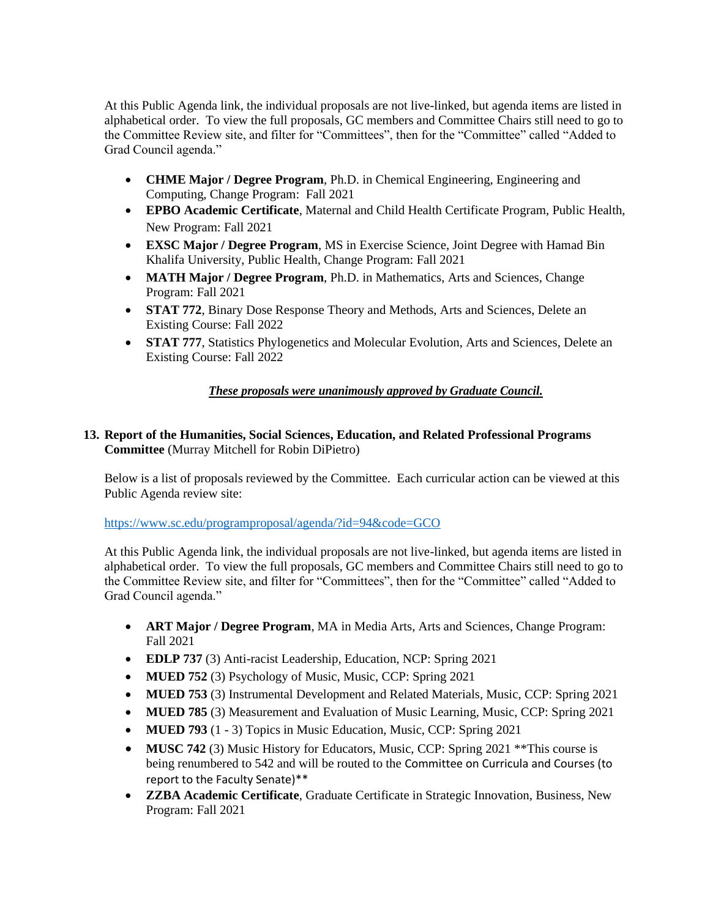At this Public Agenda link, the individual proposals are not live-linked, but agenda items are listed in alphabetical order. To view the full proposals, GC members and Committee Chairs still need to go to the Committee Review site, and filter for "Committees", then for the "Committee" called "Added to Grad Council agenda."

- **CHME Major / Degree Program**, Ph.D. in Chemical Engineering, Engineering and Computing, Change Program: Fall 2021
- **EPBO Academic Certificate**, Maternal and Child Health Certificate Program, Public Health, New Program: Fall 2021
- **EXSC Major / Degree Program**, MS in Exercise Science, Joint Degree with Hamad Bin Khalifa University, Public Health, Change Program: Fall 2021
- **MATH Major / Degree Program**, Ph.D. in Mathematics, Arts and Sciences, Change Program: Fall 2021
- **STAT 772**, Binary Dose Response Theory and Methods, Arts and Sciences, Delete an Existing Course: Fall 2022
- **STAT 777**, Statistics Phylogenetics and Molecular Evolution, Arts and Sciences, Delete an Existing Course: Fall 2022

# *These proposals were unanimously approved by Graduate Council.*

# **13. Report of the Humanities, Social Sciences, Education, and Related Professional Programs Committee** (Murray Mitchell for Robin DiPietro)

Below is a list of proposals reviewed by the Committee. Each curricular action can be viewed at this Public Agenda review site:

<https://www.sc.edu/programproposal/agenda/?id=94&code=GCO>

At this Public Agenda link, the individual proposals are not live-linked, but agenda items are listed in alphabetical order. To view the full proposals, GC members and Committee Chairs still need to go to the Committee Review site, and filter for "Committees", then for the "Committee" called "Added to Grad Council agenda."

- **ART Major / Degree Program**, MA in Media Arts, Arts and Sciences, Change Program: Fall 2021
- **EDLP 737** (3) Anti-racist Leadership, Education, NCP: Spring 2021
- **MUED 752** (3) Psychology of Music, Music, CCP: Spring 2021
- **MUED 753** (3) Instrumental Development and Related Materials, Music, CCP: Spring 2021
- **MUED 785** (3) Measurement and Evaluation of Music Learning, Music, CCP: Spring 2021
- **MUED 793** (1 3) Topics in Music Education, Music, CCP: Spring 2021
- **MUSC 742** (3) Music History for Educators, Music, CCP: Spring 2021 \*\* This course is being renumbered to 542 and will be routed to the Committee on Curricula and Courses (to report to the Faculty Senate)\*\*
- **ZZBA Academic Certificate**, Graduate Certificate in Strategic Innovation, Business, New Program: Fall 2021